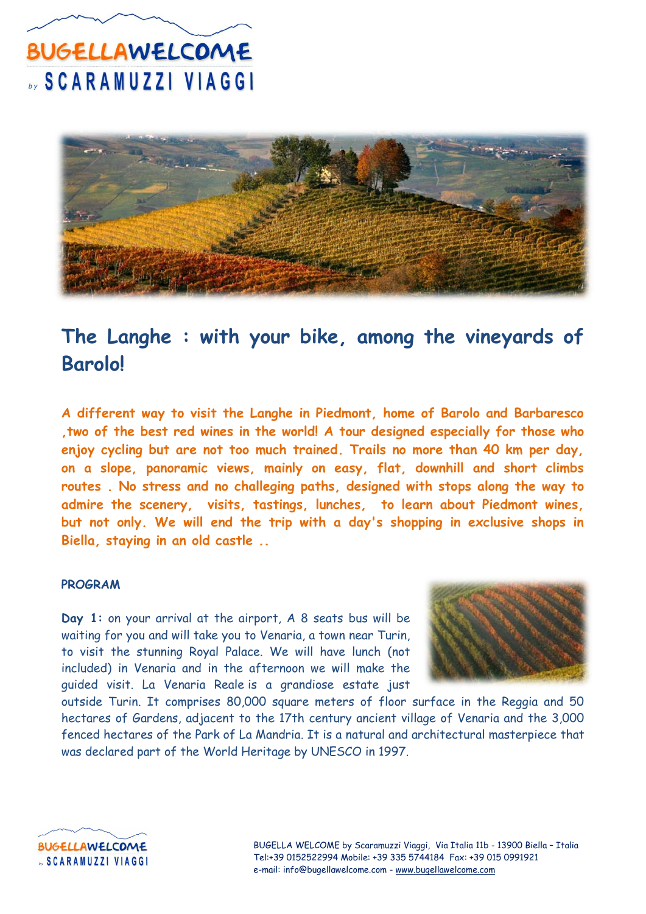

#### **The Langhe : with your bike, among the vineyards of Barolo!**

**A different way to visit the Langhe in Piedmont, home of Barolo and Barbaresco ,two of the best red wines in the world! A tour designed especially for those who enjoy cycling but are not too much trained. Trails no more than 40 km per day, on a slope, panoramic views, mainly on easy, flat, downhill and short climbs routes . No stress and no challeging paths, designed with stops along the way to admire the scenery, visits, tastings, lunches, to learn about Piedmont wines, but not only. We will end the trip with a day's shopping in exclusive shops in Biella, staying in an old castle ..**

#### **PROGRAM**

**Day 1:** on your arrival at the airport, A 8 seats bus will be waiting for you and will take you to Venaria, a town near Turin, to visit the stunning Royal Palace. We will have lunch (not included) in Venaria and in the afternoon we will make the guided visit. La Venaria Reale is a grandiose estate just



outside Turin. It comprises 80,000 square meters of floor surface in the Reggia and 50 hectares of Gardens, adjacent to the 17th century ancient village of Venaria and the 3,000 fenced hectares of the Park of La Mandria. It is a natural and architectural masterpiece that was declared part of the World Heritage by UNESCO in 1997.

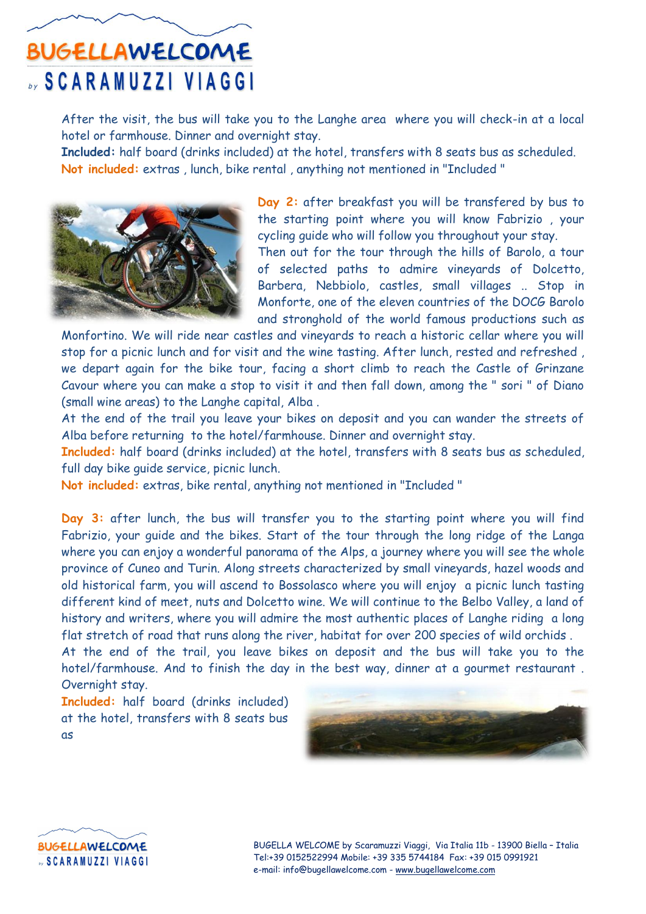After the visit, the bus will take you to the Langhe area where you will check-in at a local hotel or farmhouse. Dinner and overnight stay.

**Included:** half board (drinks included) at the hotel, transfers with 8 seats bus as scheduled. **Not included:** extras , lunch, bike rental , anything not mentioned in "Included "



**Day 2:** after breakfast you will be transfered by bus to the starting point where you will know Fabrizio , your cycling guide who will follow you throughout your stay.

Then out for the tour through the hills of Barolo, a tour of selected paths to admire vineyards of Dolcetto, Barbera, Nebbiolo, castles, small villages .. Stop in Monforte, one of the eleven countries of the DOCG Barolo and stronghold of the world famous productions such as

Monfortino. We will ride near castles and vineyards to reach a historic cellar where you will stop for a picnic lunch and for visit and the wine tasting. After lunch, rested and refreshed , we depart again for the bike tour, facing a short climb to reach the Castle of Grinzane Cavour where you can make a stop to visit it and then fall down, among the " sori " of Diano (small wine areas) to the Langhe capital, Alba .

At the end of the trail you leave your bikes on deposit and you can wander the streets of Alba before returning to the hotel/farmhouse. Dinner and overnight stay.

**Included:** half board (drinks included) at the hotel, transfers with 8 seats bus as scheduled, full day bike guide service, picnic lunch.

**Not included:** extras, bike rental, anything not mentioned in "Included "

**Day 3:** after lunch, the bus will transfer you to the starting point where you will find Fabrizio, your guide and the bikes. Start of the tour through the long ridge of the Langa where you can enjoy a wonderful panorama of the Alps, a journey where you will see the whole province of Cuneo and Turin. Along streets characterized by small vineyards, hazel woods and old historical farm, you will ascend to Bossolasco where you will enjoy a picnic lunch tasting different kind of meet, nuts and Dolcetto wine. We will continue to the Belbo Valley, a land of history and writers, where you will admire the most authentic places of Langhe riding a long flat stretch of road that runs along the river, habitat for over 200 species of wild orchids .

At the end of the trail, you leave bikes on deposit and the bus will take you to the hotel/farmhouse. And to finish the day in the best way, dinner at a gourmet restaurant . Overnight stay.

**Included:** half board (drinks included) at the hotel, transfers with 8 seats bus as





BUGELLA WELCOME by Scaramuzzi Viaggi, Via Italia 11b - 13900 Biella – Italia Tel:+39 0152522994 Mobile: +39 335 5744184 Fax: +39 015 0991921 e-mail: info@bugellawelcome.com - www.bugellawelcome.com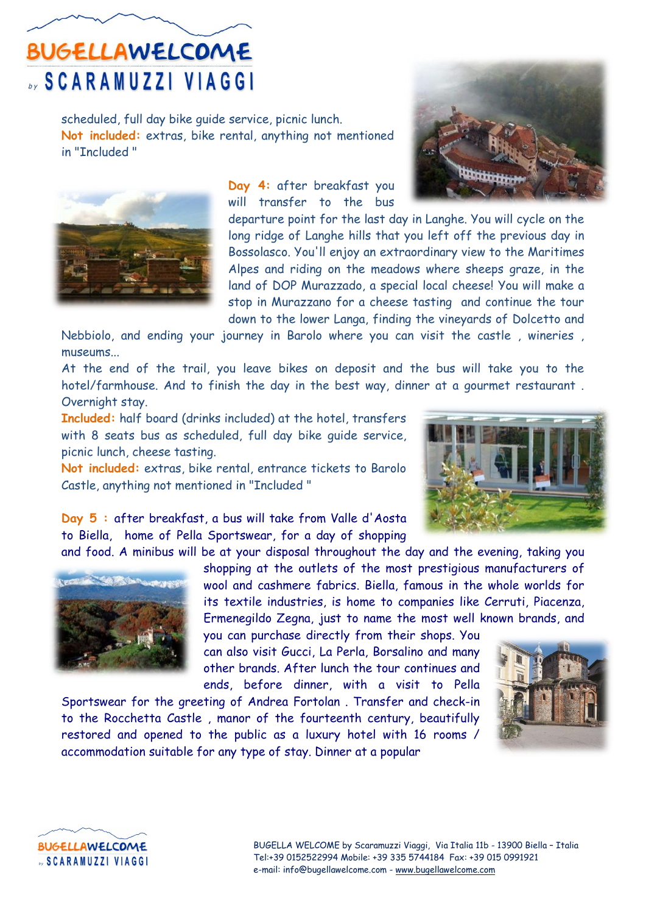scheduled, full day bike guide service, picnic lunch. **Not included:** extras, bike rental, anything not mentioned in "Included "



**Day 4:** after breakfast you will transfer to the bus



departure point for the last day in Langhe. You will cycle on the long ridge of Langhe hills that you left off the previous day in Bossolasco. You'll enjoy an extraordinary view to the Maritimes Alpes and riding on the meadows where sheeps graze, in the land of DOP Murazzado, a special local cheese! You will make a stop in Murazzano for a cheese tasting and continue the tour down to the lower Langa, finding the vineyards of Dolcetto and

Nebbiolo, and ending your journey in Barolo where you can visit the castle , wineries , museums...

At the end of the trail, you leave bikes on deposit and the bus will take you to the hotel/farmhouse. And to finish the day in the best way, dinner at a gourmet restaurant . Overnight stay.

**Included:** half board (drinks included) at the hotel, transfers with 8 seats bus as scheduled, full day bike guide service, picnic lunch, cheese tasting.

**Not included:** extras, bike rental, entrance tickets to Barolo Castle, anything not mentioned in "Included "



**Day 5 :** after breakfast, a bus will take from Valle d'Aosta to Biella, home of Pella Sportswear, for a day of shopping



and food. A minibus will be at your disposal throughout the day and the evening, taking you shopping at the outlets of the most prestigious manufacturers of wool and cashmere fabrics. Biella, famous in the whole worlds for its textile industries, is home to companies like Cerruti, Piacenza, Ermenegildo Zegna, just to name the most well known brands, and

> you can purchase directly from their shops. You can also visit Gucci, La Perla, Borsalino and many other brands. After lunch the tour continues and ends, before dinner, with a visit to Pella

Sportswear for the greeting of Andrea Fortolan . Transfer and check-in to the Rocchetta Castle , manor of the fourteenth century, beautifully restored and opened to the public as a luxury hotel with 16 rooms / accommodation suitable for any type of stay. Dinner at a popular





BUGELLA WELCOME by Scaramuzzi Viaggi, Via Italia 11b - 13900 Biella – Italia Tel:+39 0152522994 Mobile: +39 335 5744184 Fax: +39 015 0991921 e-mail: info@bugellawelcome.com - www.bugellawelcome.com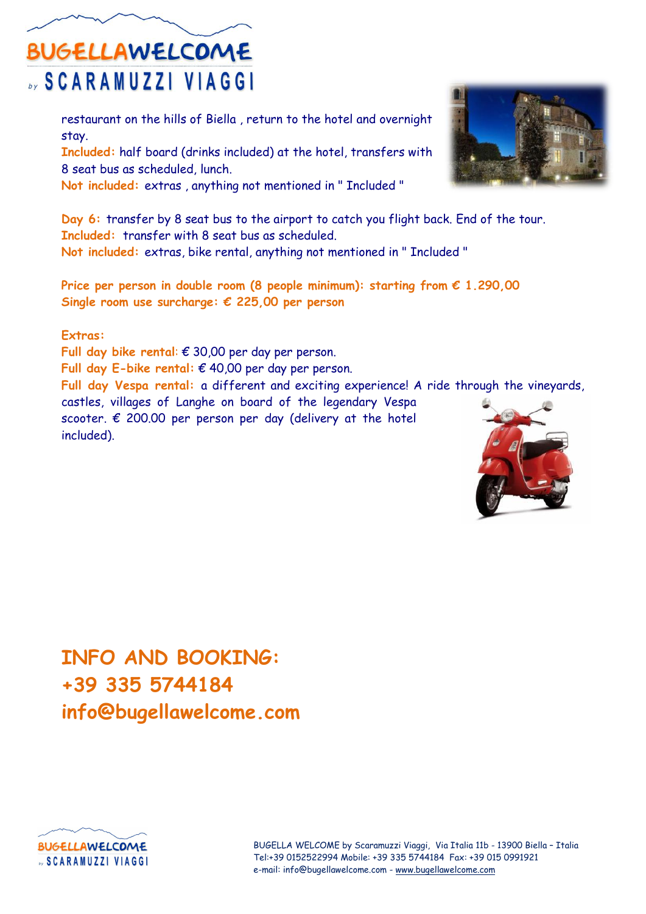restaurant on the hills of Biella , return to the hotel and overnight stay.

**Included:** half board (drinks included) at the hotel, transfers with 8 seat bus as scheduled, lunch.

**Not included:** extras , anything not mentioned in " Included "

**Day 6:** transfer by 8 seat bus to the airport to catch you flight back. End of the tour. **Included:** transfer with 8 seat bus as scheduled. **Not included:** extras, bike rental, anything not mentioned in " Included "

**Price per person in double room (8 people minimum): starting from € 1.290,00 Single room use surcharge: € 225,00 per person**

**Extras:**

**Full day bike rental**: € 30,00 per day per person. **Full day E-bike rental:** € 40,00 per day per person. **Full day Vespa rental:** a different and exciting experience! A ride through the vineyards, castles, villages of Langhe on board of the legendary Vespa scooter.  $\epsilon$  200.00 per person per day (delivery at the hotel included).

#### **INFO AND BOOKING: +39 335 5744184 info@bugellawelcome.com**



BUGELLA WELCOME by Scaramuzzi Viaggi, Via Italia 11b - 13900 Biella – Italia Tel:+39 0152522994 Mobile: +39 335 5744184 Fax: +39 015 0991921 e-mail: info@bugellawelcome.com - www.bugellawelcome.com